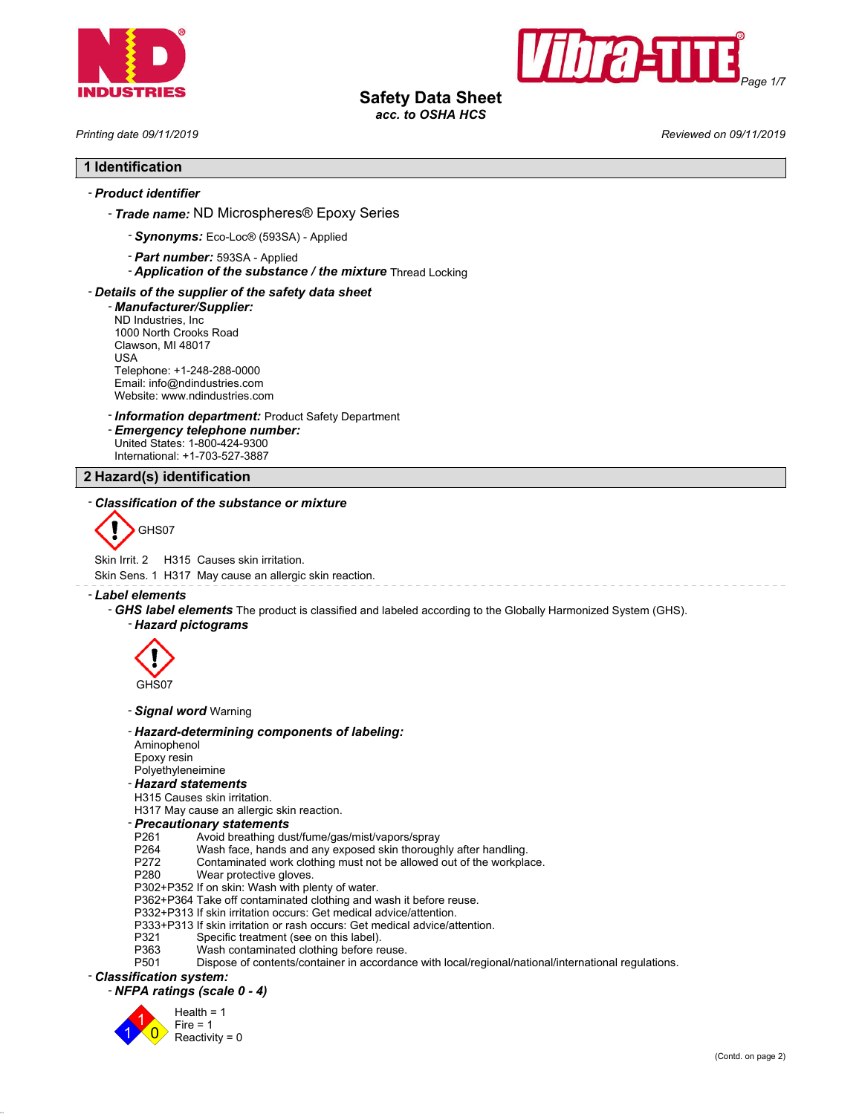



# **Safety Data Sheet**

*acc. to OSHA HCS*

*Printing date 09/11/2019 Reviewed on 09/11/2019*

### **1 Identification**

### - *Product identifier*

- *Trade name:* ND Microspheres® Epoxy Series
	- *Synonyms:* Eco-Loc® (593SA) Applied
	- *Part number:* 593SA Applied
	- *Application of the substance / the mixture* Thread Locking

### - *Details of the supplier of the safety data sheet*

- *Manufacturer/Supplier:* ND Industries, Inc 1000 North Crooks Road Clawson, MI 48017 USA Telephone: +1-248-288-0000 Email: info@ndindustries.com Website: www.ndindustries.com

### - *Information department:* Product Safety Department

- *Emergency telephone number:* United States: 1-800-424-9300 International: +1-703-527-3887

#### **2 Hazard(s) identification**

#### - *Classification of the substance or mixture*



Skin Irrit. 2 H315 Causes skin irritation.

Skin Sens. 1 H317 May cause an allergic skin reaction.

#### - *Label elements*

- *GHS label elements* The product is classified and labeled according to the Globally Harmonized System (GHS). - *Hazard pictograms*



#### - *Signal word* Warning

- *Hazard-determining components of labeling:*
- Aminophenol
- Epoxy resin

#### Polyethyleneimine - *Hazard statements*

- 
- H315 Causes skin irritation. H317 May cause an allergic skin reaction.

- *Precautionary statements*
- P261 Avoid breathing dust/fume/gas/mist/vapors/spray
- P264 Wash face, hands and any exposed skin thoroughly after handling.<br>P272 Contaminated work clothing must not be allowed out of the workpla
- P272 Contaminated work clothing must not be allowed out of the workplace.<br>P280 Wear protective gloves.
- Wear protective gloves.
- P302+P352 If on skin: Wash with plenty of water.
- P362+P364 Take off contaminated clothing and wash it before reuse.
- P332+P313 If skin irritation occurs: Get medical advice/attention.
- P333+P313 If skin irritation or rash occurs: Get medical advice/attention.
- P321 Specific treatment (see on this label).<br>P363 Wash contaminated clothing before re
- P363 Wash contaminated clothing before reuse.<br>P501 Dispose of contents/container in accordanc
- Dispose of contents/container in accordance with local/regional/national/international regulations.

## - *Classification system:*

### - *NFPA ratings (scale 0 - 4)*

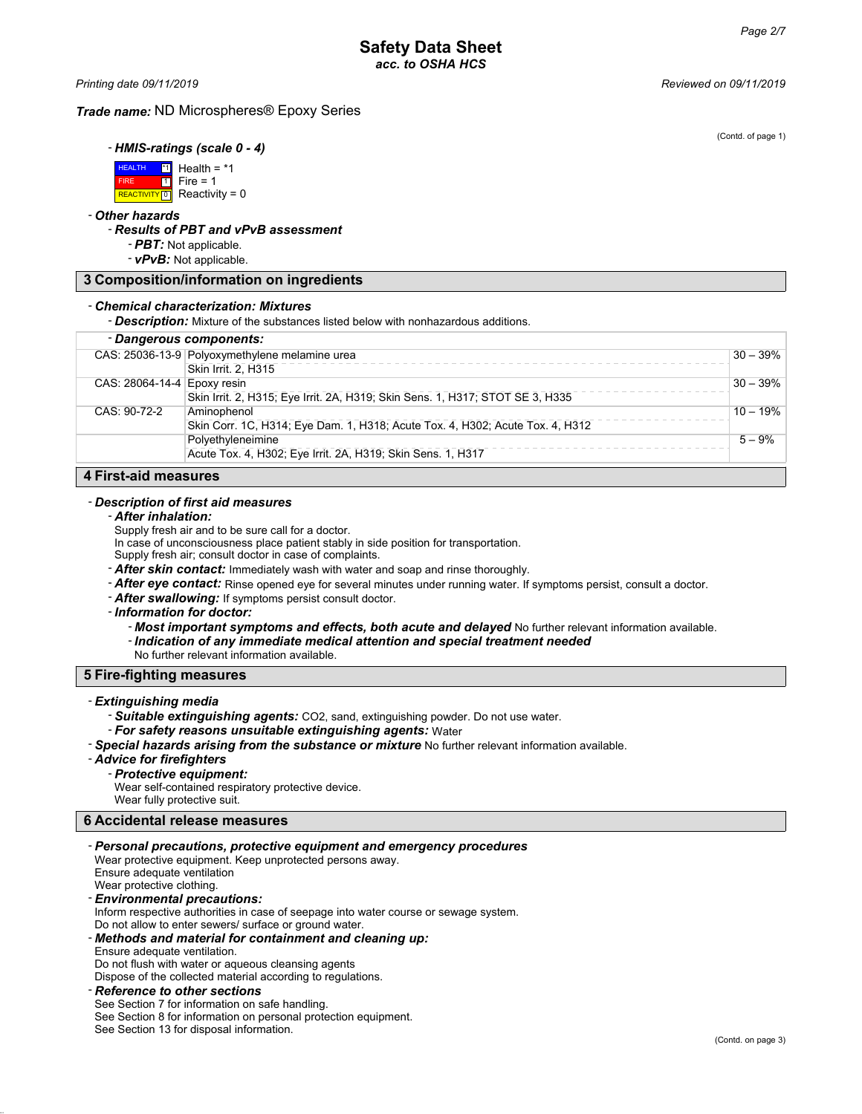(Contd. of page 1)

*Printing date 09/11/2019 Reviewed on 09/11/2019*

#### *Trade name:* ND Microspheres® Epoxy Series

- *HMIS-ratings (scale 0 - 4)*

 HEALTH FIRE **REACTIVITY** 0 <mark>\*1</mark> Health = \*1  $\overline{11}$  $Fire = 1$ Reactivity =  $0$ 

- *Other hazards*

#### - *Results of PBT and vPvB assessment*

- *PBT:* Not applicable.

- *vPvB:* Not applicable.

#### **3 Composition/information on ingredients**

#### - *Chemical characterization: Mixtures*

- *Description:* Mixture of the substances listed below with nonhazardous additions.

### - *Dangerous components:*

| - Dangerous componems:                                                        |            |
|-------------------------------------------------------------------------------|------------|
| CAS: 25036-13-9 Polyoxymethylene melamine urea                                | $30 - 39%$ |
| Skin Irrit. 2. H315                                                           |            |
| CAS: 28064-14-4 Epoxy resin                                                   | $30 - 39%$ |
| Skin Irrit. 2, H315; Eye Irrit. 2A, H319; Skin Sens. 1, H317; STOT SE 3, H335 |            |
| CAS: 90-72-2<br>Aminophenol                                                   | $10 - 19%$ |
| Skin Corr. 1C, H314; Eye Dam. 1, H318; Acute Tox. 4, H302; Acute Tox. 4, H312 |            |
| Polvethyleneimine                                                             | $5 - 9%$   |
| Acute Tox. 4, H302; Eye Irrit. 2A, H319; Skin Sens. 1, H317                   |            |

### **4 First-aid measures**

### - *Description of first aid measures*

#### - *After inhalation:*

Supply fresh air and to be sure call for a doctor.

- In case of unconsciousness place patient stably in side position for transportation.
- Supply fresh air; consult doctor in case of complaints.
- *After skin contact:* Immediately wash with water and soap and rinse thoroughly.
- *After eye contact:* Rinse opened eye for several minutes under running water. If symptoms persist, consult a doctor.
- *After swallowing:* If symptoms persist consult doctor.
- *Information for doctor:*
	- *Most important symptoms and effects, both acute and delayed* No further relevant information available.
	- *Indication of any immediate medical attention and special treatment needed*
	- No further relevant information available.

### **5 Fire-fighting measures**

#### - *Extinguishing media*

- *Suitable extinguishing agents:* CO2, sand, extinguishing powder. Do not use water.
- *For safety reasons unsuitable extinguishing agents:* Water
- *Special hazards arising from the substance or mixture* No further relevant information available.

#### - *Advice for firefighters*

### - *Protective equipment:*

Wear self-contained respiratory protective device. Wear fully protective suit.

# **6 Accidental release measures**

#### - *Personal precautions, protective equipment and emergency procedures*

Wear protective equipment. Keep unprotected persons away. Ensure adequate ventilation Wear protective clothing.

### - *Environmental precautions:*

Inform respective authorities in case of seepage into water course or sewage system.

#### Do not allow to enter sewers/ surface or ground water.

- *Methods and material for containment and cleaning up:*

Ensure adequate ventilation.

Do not flush with water or aqueous cleansing agents Dispose of the collected material according to regulations.

### - *Reference to other sections*

### See Section 7 for information on safe handling.

See Section 8 for information on personal protection equipment.

See Section 13 for disposal information.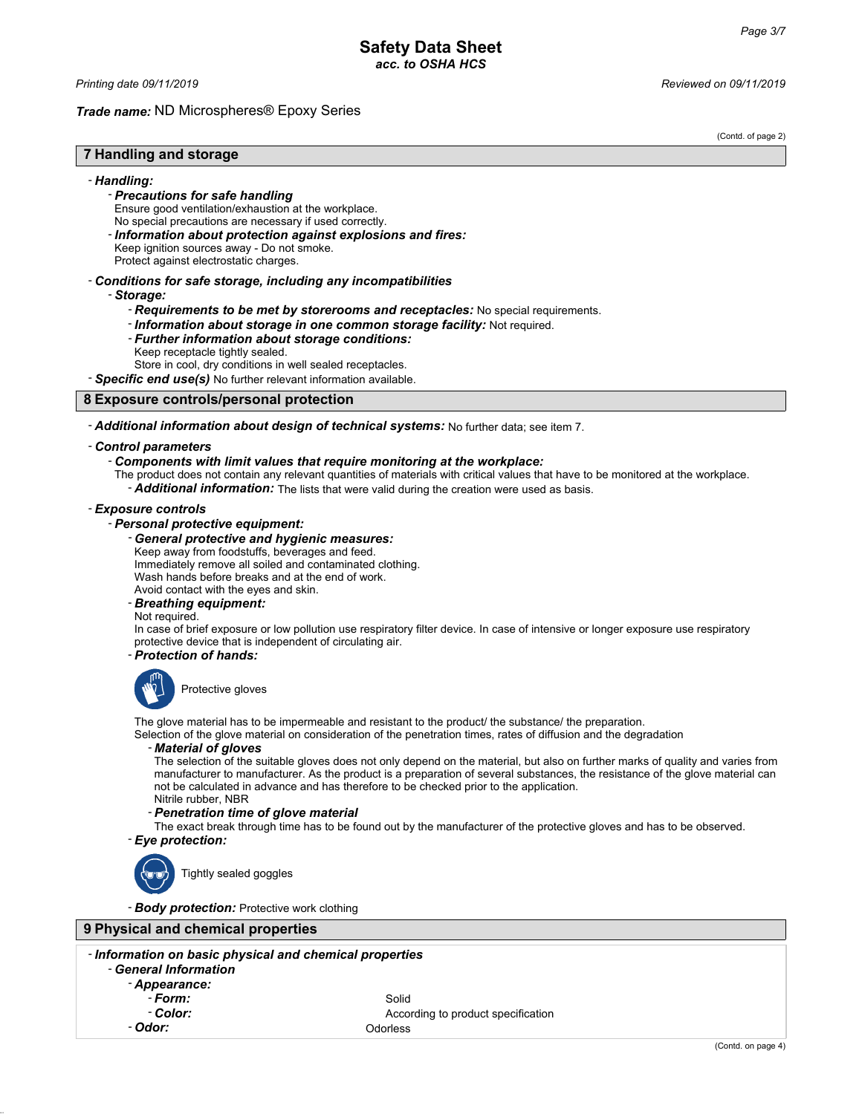*Printing date 09/11/2019 Reviewed on 09/11/2019*

#### *Trade name:* ND Microspheres® Epoxy Series

(Contd. of page 2)

### **7 Handling and storage**

#### - *Handling:*

- *Precautions for safe handling*
- Ensure good ventilation/exhaustion at the workplace.
- No special precautions are necessary if used correctly.
- *Information about protection against explosions and fires:*
- Keep ignition sources away Do not smoke. Protect against electrostatic charges.
- *Conditions for safe storage, including any incompatibilities*
	- *Storage:*
		- *Requirements to be met by storerooms and receptacles:* No special requirements.
		- *Information about storage in one common storage facility:* Not required.
		- *Further information about storage conditions:*
		- Keep receptacle tightly sealed.
		- Store in cool, dry conditions in well sealed receptacles.
- *Specific end use(s)* No further relevant information available.

#### **8 Exposure controls/personal protection**

- *Additional information about design of technical systems:* No further data; see item 7.

#### - *Control parameters*

#### - *Components with limit values that require monitoring at the workplace:*

The product does not contain any relevant quantities of materials with critical values that have to be monitored at the workplace. - *Additional information:* The lists that were valid during the creation were used as basis.

#### - *Exposure controls*

- *Personal protective equipment:*
	- *General protective and hygienic measures:*
	- Keep away from foodstuffs, beverages and feed.
	- Immediately remove all soiled and contaminated clothing.

Wash hands before breaks and at the end of work.

- Avoid contact with the eyes and skin.
- *Breathing equipment:*

#### Not required.

In case of brief exposure or low pollution use respiratory filter device. In case of intensive or longer exposure use respiratory protective device that is independent of circulating air.

### - *Protection of hands:*



Protective gloves

The glove material has to be impermeable and resistant to the product/ the substance/ the preparation.

Selection of the glove material on consideration of the penetration times, rates of diffusion and the degradation

#### - *Material of gloves*

The selection of the suitable gloves does not only depend on the material, but also on further marks of quality and varies from manufacturer to manufacturer. As the product is a preparation of several substances, the resistance of the glove material can not be calculated in advance and has therefore to be checked prior to the application. Nitrile rubber, NBR

### - *Penetration time of glove material*

The exact break through time has to be found out by the manufacturer of the protective gloves and has to be observed. - *Eye protection:*



Tightly sealed goggles

- *Body protection:* Protective work clothing

### **9 Physical and chemical properties**

#### - *Information on basic physical and chemical properties* - *General Information*

- *Appearance:*
	- *Form:* Solid
- 

**Color:** Color: **According to product specification** - *Odor:* Odorless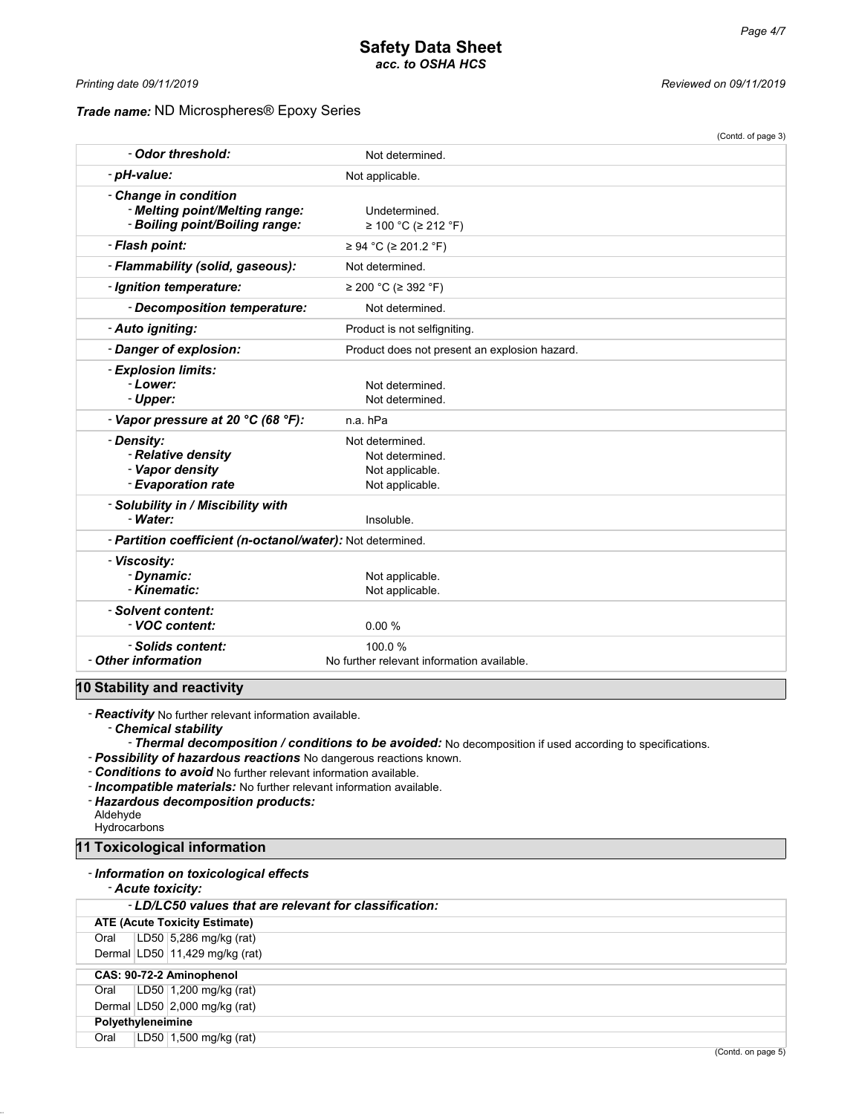### *Trade name:* ND Microspheres® Epoxy Series

*Printing date 09/11/2019 Reviewed on 09/11/2019*

|                                                                                           |                                                                          | (Contd. of page 3) |
|-------------------------------------------------------------------------------------------|--------------------------------------------------------------------------|--------------------|
| - Odor threshold:                                                                         | Not determined.                                                          |                    |
| - pH-value:                                                                               | Not applicable.                                                          |                    |
| - Change in condition<br>- Melting point/Melting range:<br>- Boiling point/Boiling range: | Undetermined.<br>≥ 100 °C (≥ 212 °F)                                     |                    |
| - Flash point:                                                                            | ≥ 94 °C (≥ 201.2 °F)                                                     |                    |
| - Flammability (solid, gaseous):                                                          | Not determined.                                                          |                    |
| - Ignition temperature:                                                                   | ≥ 200 °C (≥ 392 °F)                                                      |                    |
| - Decomposition temperature:                                                              | Not determined.                                                          |                    |
| - Auto igniting:                                                                          | Product is not selfigniting.                                             |                    |
| - Danger of explosion:                                                                    | Product does not present an explosion hazard.                            |                    |
| - Explosion limits:<br>- Lower:<br>- Upper:                                               | Not determined.<br>Not determined.                                       |                    |
| - Vapor pressure at 20 °C (68 °F):                                                        | n.a. hPa                                                                 |                    |
| - Density:<br>- Relative density<br>- Vapor density<br>- Evaporation rate                 | Not determined.<br>Not determined.<br>Not applicable.<br>Not applicable. |                    |
| - Solubility in / Miscibility with<br>- Water:                                            | Insoluble.                                                               |                    |
| - Partition coefficient (n-octanol/water): Not determined.                                |                                                                          |                    |
| - Viscosity:<br>- Dynamic:<br>- Kinematic:                                                | Not applicable.<br>Not applicable.                                       |                    |
| - Solvent content:<br>- VOC content:                                                      | 0.00%                                                                    |                    |
| - Solids content:<br>- Other information                                                  | 100.0%<br>No further relevant information available.                     |                    |
| 10 Stability and reactivity                                                               |                                                                          |                    |

- *Reactivity* No further relevant information available.

- *Chemical stability*

- *Thermal decomposition / conditions to be avoided:* No decomposition if used according to specifications.

- *Possibility of hazardous reactions* No dangerous reactions known.

- *Conditions to avoid* No further relevant information available.
- *Incompatible materials:* No further relevant information available.
- *Hazardous decomposition products:*

Aldehyde **Hydrocarbons** 

**11 Toxicological information**

### - *Information on toxicological effects*

### - *Acute toxicity:*

| - LD/LC50 values that are relevant for classification: |
|--------------------------------------------------------|
| <b>ATE (Acute Toxicity Estimate)</b>                   |
| LD50 5,286 mg/kg (rat)<br>Oral                         |
| Dermal LD50 11,429 mg/kg (rat)                         |
| CAS: 90-72-2 Aminophenol                               |
| LD50 1,200 mg/kg (rat)<br>Oral                         |
| Dermal $ LD50 $ 2,000 mg/kg (rat)                      |
| Polyethyleneimine                                      |
| LD50 1,500 mg/kg (rat)<br>Oral                         |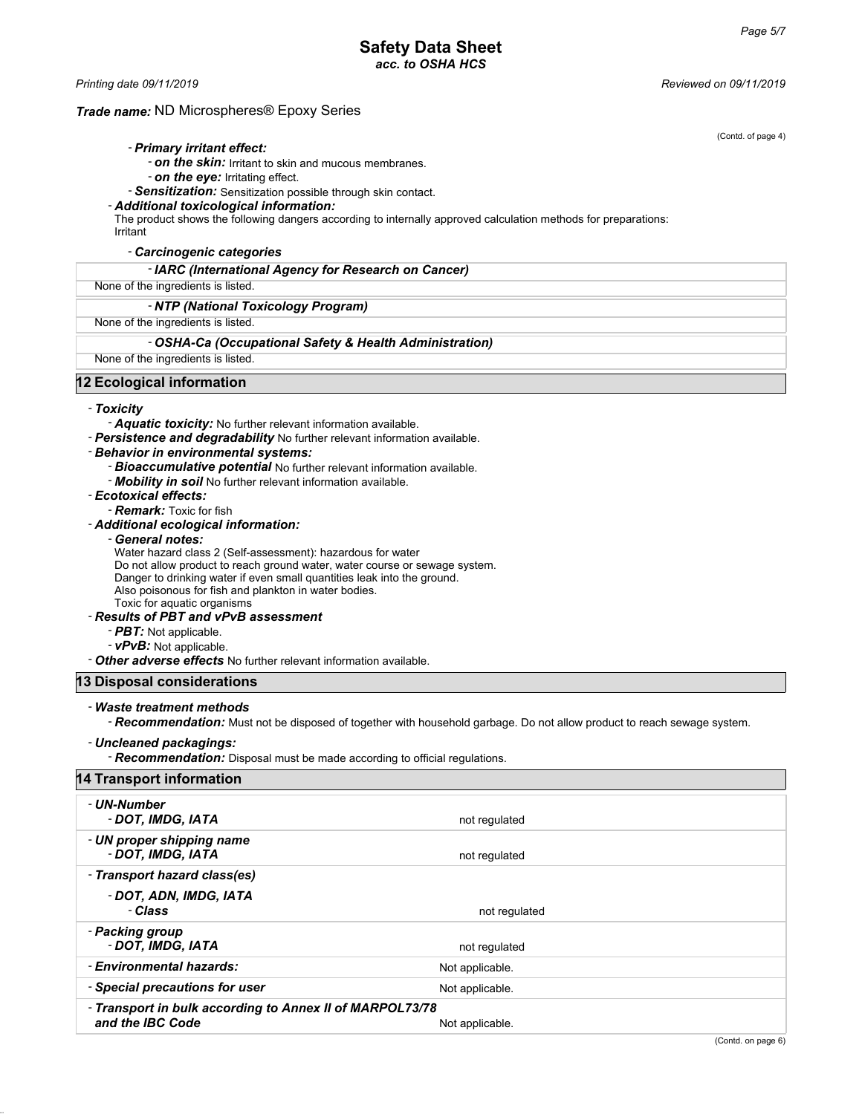### **Safety Data Sheet** *acc. to OSHA HCS*

*Printing date 09/11/2019 Reviewed on 09/11/2019*

#### *Trade name:* ND Microspheres® Epoxy Series

(Contd. of page 4)

#### - *Primary irritant effect:*

- *on the skin:* Irritant to skin and mucous membranes.

- *on the eye:* Irritating effect.

- *Sensitization:* Sensitization possible through skin contact.

#### - *Additional toxicological information:*

The product shows the following dangers according to internally approved calculation methods for preparations:

Irritant

- *Carcinogenic categories*

#### - *IARC (International Agency for Research on Cancer)*

#### None of the ingredients is listed.

- *NTP (National Toxicology Program)*

### None of the ingredients is listed.

- *OSHA-Ca (Occupational Safety & Health Administration)*

None of the ingredients is listed.

#### **12 Ecological information**

#### - *Toxicity*

- *Aquatic toxicity:* No further relevant information available.

- *Persistence and degradability* No further relevant information available.

#### - *Behavior in environmental systems:*

- *Bioaccumulative potential* No further relevant information available.
- *Mobility in soil* No further relevant information available.

#### - *Ecotoxical effects:*

- *Remark:* Toxic for fish

#### - *Additional ecological information:*

- *General notes:*

Water hazard class 2 (Self-assessment): hazardous for water

Do not allow product to reach ground water, water course or sewage system.

Danger to drinking water if even small quantities leak into the ground.

Also poisonous for fish and plankton in water bodies.

Toxic for aquatic organisms

#### - *Results of PBT and vPvB assessment*

- *PBT:* Not applicable.
- *vPvB:* Not applicable.

- *Other adverse effects* No further relevant information available.

#### **13 Disposal considerations**

#### - *Waste treatment methods*

- *Recommendation:* Must not be disposed of together with household garbage. Do not allow product to reach sewage system.

#### - *Uncleaned packagings:*

- *Recommendation:* Disposal must be made according to official regulations.

### **14 Transport information**

| - UN-Number<br>- DOT, IMDG, IATA                                             | not regulated   |
|------------------------------------------------------------------------------|-----------------|
| - UN proper shipping name<br>- DOT, IMDG, IATA                               | not regulated   |
| - Transport hazard class(es)                                                 |                 |
| - DOT, ADN, IMDG, IATA<br>- Class                                            | not regulated   |
| - Packing group<br>- DOT. IMDG. IATA                                         | not regulated   |
| - Environmental hazards:                                                     | Not applicable. |
| - Special precautions for user                                               | Not applicable. |
| - Transport in bulk according to Annex II of MARPOL73/78<br>and the IBC Code | Not applicable. |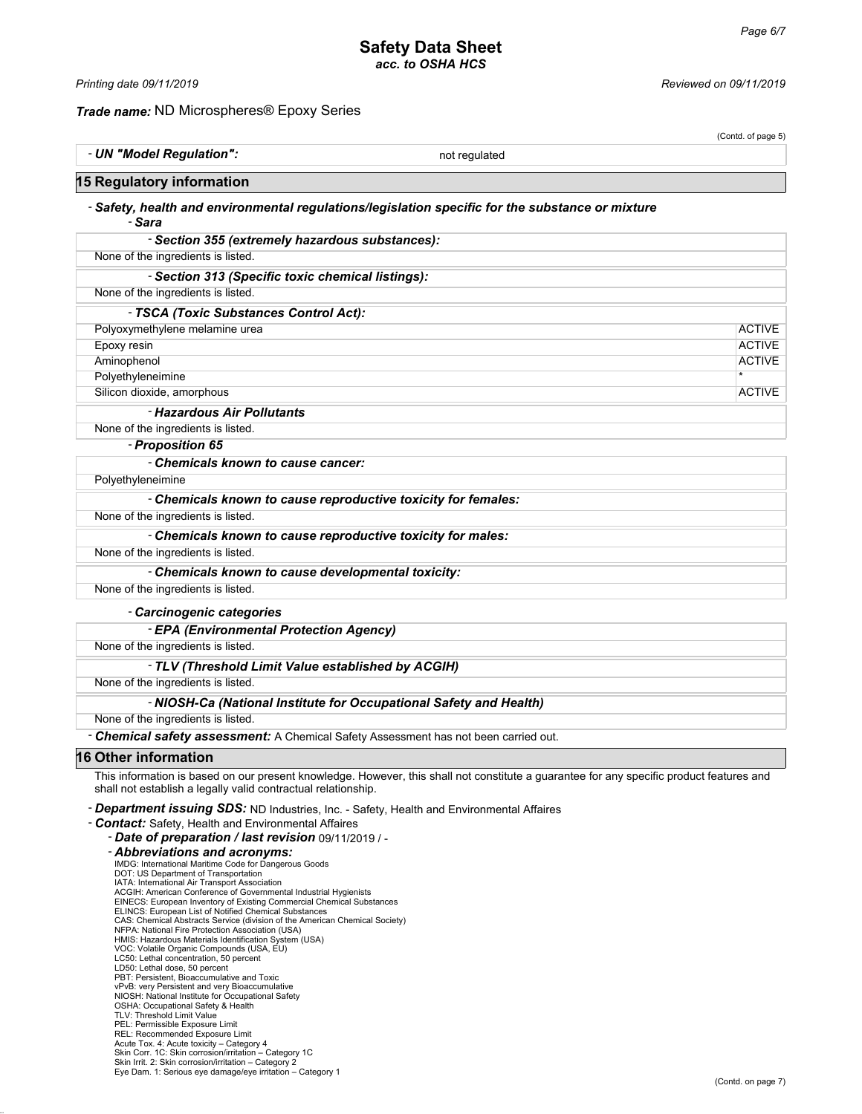### **Safety Data Sheet** *acc. to OSHA HCS*

*Trade name:* ND Microspheres® Epoxy Series

*Printing date 09/11/2019 Reviewed on 09/11/2019*

# (Contd. of page 5) - **UN "Model Regulation":** Not regulated

# **15 Regulatory information**

#### - *Safety, health and environmental regulations/legislation specific for the substance or mixture* - *Sara*

| - Section 355 (extremely hazardous substances):               |               |
|---------------------------------------------------------------|---------------|
| None of the ingredients is listed.                            |               |
| - Section 313 (Specific toxic chemical listings):             |               |
| None of the ingredients is listed.                            |               |
| - TSCA (Toxic Substances Control Act):                        |               |
| Polyoxymethylene melamine urea                                | <b>ACTIVE</b> |
| Epoxy resin                                                   | <b>ACTIVE</b> |
| Aminophenol                                                   | <b>ACTIVE</b> |
| Polyethyleneimine                                             | $\star$       |
| Silicon dioxide, amorphous                                    | <b>ACTIVE</b> |
| - Hazardous Air Pollutants                                    |               |
| None of the ingredients is listed.                            |               |
| - Proposition 65                                              |               |
| - Chemicals known to cause cancer:                            |               |
| Polyethyleneimine                                             |               |
| - Chemicals known to cause reproductive toxicity for females: |               |

#### None of the ingredients is listed.

#### - *Chemicals known to cause reproductive toxicity for males:*

#### None of the ingredients is listed.

#### - *Chemicals known to cause developmental toxicity:*

None of the ingredients is listed.

#### - *Carcinogenic categories*

- *EPA (Environmental Protection Agency)*

None of the ingredients is listed.

#### - *TLV (Threshold Limit Value established by ACGIH)*

None of the ingredients is listed.

### - *NIOSH-Ca (National Institute for Occupational Safety and Health)*

None of the ingredients is listed.

- *Chemical safety assessment:* A Chemical Safety Assessment has not been carried out.

### **16 Other information**

This information is based on our present knowledge. However, this shall not constitute a guarantee for any specific product features and shall not establish a legally valid contractual relationship.

#### - *Department issuing SDS:* ND Industries, Inc. - Safety, Health and Environmental Affaires

- *Contact:* Safety, Health and Environmental Affaires

- *Date of preparation / last revision* 09/11/2019 / - *Abbreviations and acronyms:* IMDG: International Maritime Code for Dangerous Goods
- DOT: US Department of Transportation
- IATA: International Air Transport Association
- ACGIH: American Conference of Governmental Industrial Hygienists EINECS: European Inventory of Existing Commercial Chemical Substances
- ELINCS: European List of Notified Chemical Substances
- CAS: Chemical Abstracts Service (division of the American Chemical Society)
- NFPA: National Fire Protection Association (USA) HMIS: Hazardous Materials Identification System (USA) VOC: Volatile Organic Compounds (USA, EU)
- 
- LC50: Lethal concentration, 50 percent
- 
- LD50: Lethal dose, 50 percent PBT: Persistent, Bioaccumulative and Toxic
- vPvB: very Persistent and very Bioaccumulative NIOSH: National Institute for Occupational Safety
- 
- OSHA: Occupational Safety & Health TLV: Threshold Limit Value
- PEL: Permissible Exposure Limit
- REL: Recommended Exposure Limit
- 
- Acute Tox. 4: Acute toxicity Category 4 Skin Corr. 1C: Skin corrosion/irritation Category 1C Skin Irrit. 2: Skin corrosion/irritation Category 2
- Eye Dam. 1: Serious eye damage/eye irritation Category 1